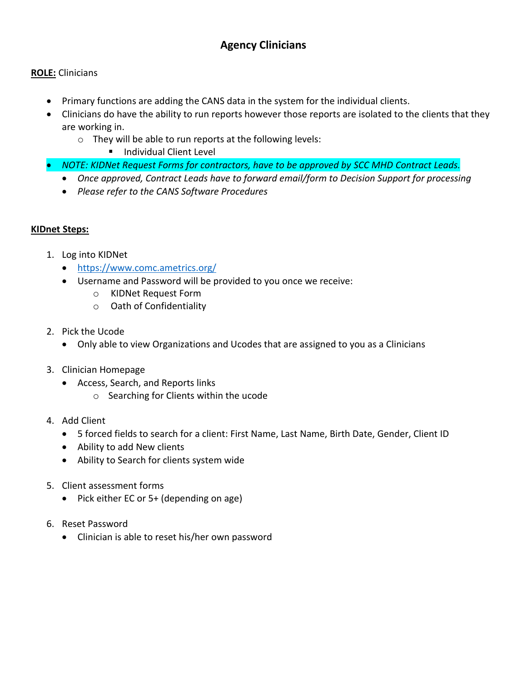# **Agency Clinicians**

### **ROLE:** Clinicians

- Primary functions are adding the CANS data in the system for the individual clients.
- Clinicians do have the ability to run reports however those reports are isolated to the clients that they are working in.
	- o They will be able to run reports at the following levels:
		- **Individual Client Level**
- *NOTE: KIDNet Request Forms for contractors, have to be approved by SCC MHD Contract Leads.* 
	- *Once approved, Contract Leads have to forward email/form to Decision Support for processing*
	- *Please refer to the CANS Software Procedures*

## **KIDnet Steps:**

- 1. Log into KIDNet
	- <https://www.comc.ametrics.org/>
	- Username and Password will be provided to you once we receive:
		- o KIDNet Request Form
		- o Oath of Confidentiality
- 2. Pick the Ucode
	- Only able to view Organizations and Ucodes that are assigned to you as a Clinicians
- 3. Clinician Homepage
	- Access, Search, and Reports links
		- o Searching for Clients within the ucode
- 4. Add Client
	- 5 forced fields to search for a client: First Name, Last Name, Birth Date, Gender, Client ID
	- Ability to add New clients
	- Ability to Search for clients system wide
- 5. Client assessment forms
	- Pick either EC or 5+ (depending on age)
- 6. Reset Password
	- Clinician is able to reset his/her own password